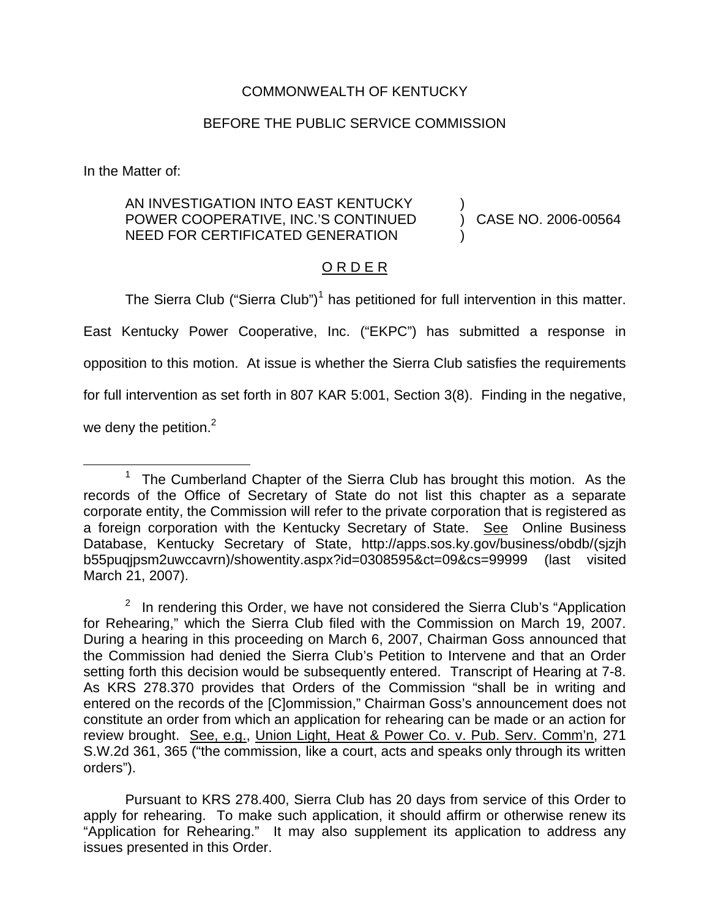## COMMONWEALTH OF KENTUCKY

## BEFORE THE PUBLIC SERVICE COMMISSION

In the Matter of:

## AN INVESTIGATION INTO EAST KENTUCKY POWER COOPERATIVE, INC.'S CONTINUED NEED FOR CERTIFICATED GENERATION

) CASE NO. 2006-00564

)

)

## O R D E R

The Sierra Club ("Sierra Club")<sup>1</sup> has petitioned for full intervention in this matter.

East Kentucky Power Cooperative, Inc. ("EKPC") has submitted a response in opposition to this motion. At issue is whether the Sierra Club satisfies the requirements for full intervention as set forth in 807 KAR 5:001, Section 3(8). Finding in the negative,

we deny the petition. $2$ 

Pursuant to KRS 278.400, Sierra Club has 20 days from service of this Order to apply for rehearing. To make such application, it should affirm or otherwise renew its "Application for Rehearing." It may also supplement its application to address any issues presented in this Order.

<sup>&</sup>lt;sup>1</sup> The Cumberland Chapter of the Sierra Club has brought this motion. As the records of the Office of Secretary of State do not list this chapter as a separate corporate entity, the Commission will refer to the private corporation that is registered as a foreign corporation with the Kentucky Secretary of State. See Online Business Database, Kentucky Secretary of State, http://apps.sos.ky.gov/business/obdb/(sjzjh b55puqjpsm2uwccavrn)/showentity.aspx?id=0308595&ct=09&cs=99999 (last visited March 21, 2007).

 $2$  In rendering this Order, we have not considered the Sierra Club's "Application for Rehearing," which the Sierra Club filed with the Commission on March 19, 2007. During a hearing in this proceeding on March 6, 2007, Chairman Goss announced that the Commission had denied the Sierra Club's Petition to Intervene and that an Order setting forth this decision would be subsequently entered. Transcript of Hearing at 7-8. As KRS 278.370 provides that Orders of the Commission "shall be in writing and entered on the records of the [C]ommission," Chairman Goss's announcement does not constitute an order from which an application for rehearing can be made or an action for review brought. See, e.g., Union Light, Heat & Power Co. v. Pub. Serv. Comm'n, 271 S.W.2d 361, 365 ("the commission, like a court, acts and speaks only through its written orders").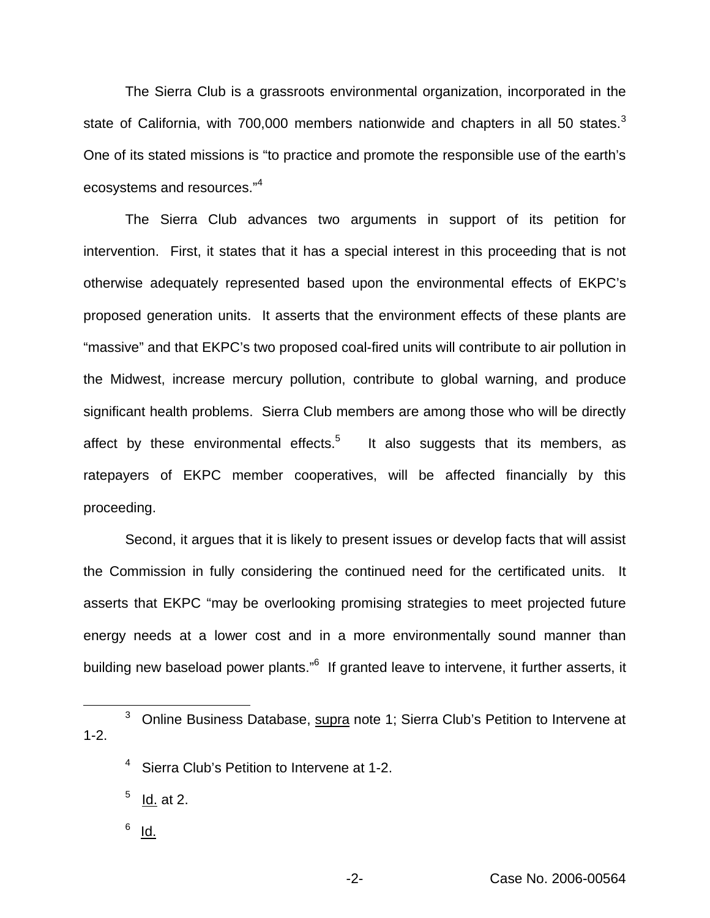The Sierra Club is a grassroots environmental organization, incorporated in the state of California, with 700,000 members nationwide and chapters in all 50 states. $3$ One of its stated missions is "to practice and promote the responsible use of the earth's ecosystems and resources."<sup>4</sup>

The Sierra Club advances two arguments in support of its petition for intervention. First, it states that it has a special interest in this proceeding that is not otherwise adequately represented based upon the environmental effects of EKPC's proposed generation units. It asserts that the environment effects of these plants are "massive" and that EKPC's two proposed coal-fired units will contribute to air pollution in the Midwest, increase mercury pollution, contribute to global warning, and produce significant health problems. Sierra Club members are among those who will be directly affect by these environmental effects.<sup>5</sup> It also suggests that its members, as ratepayers of EKPC member cooperatives, will be affected financially by this proceeding.

Second, it argues that it is likely to present issues or develop facts that will assist the Commission in fully considering the continued need for the certificated units. It asserts that EKPC "may be overlooking promising strategies to meet projected future energy needs at a lower cost and in a more environmentally sound manner than building new baseload power plants."<sup>6</sup> If granted leave to intervene, it further asserts, it

<sup>3</sup> Online Business Database, supra note 1; Sierra Club's Petition to Intervene at 1-2.

<sup>4</sup> Sierra Club's Petition to Intervene at 1-2.

- $<sup>5</sup>$  Id. at 2.</sup>
- $6$  Id.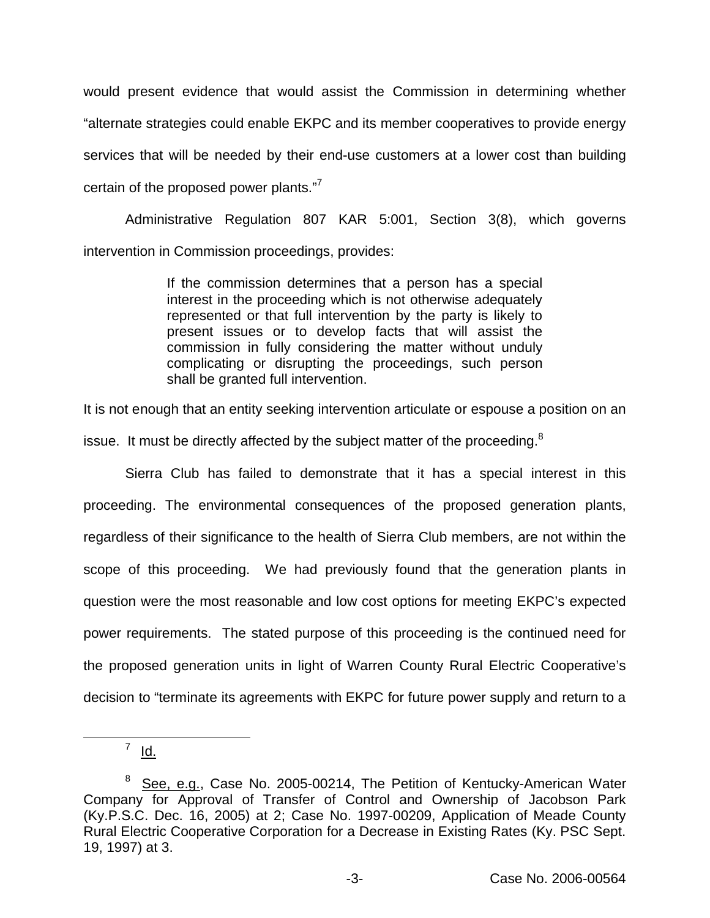would present evidence that would assist the Commission in determining whether "alternate strategies could enable EKPC and its member cooperatives to provide energy services that will be needed by their end-use customers at a lower cost than building certain of the proposed power plants."<sup>7</sup>

Administrative Regulation 807 KAR 5:001, Section 3(8), which governs intervention in Commission proceedings, provides:

> If the commission determines that a person has a special interest in the proceeding which is not otherwise adequately represented or that full intervention by the party is likely to present issues or to develop facts that will assist the commission in fully considering the matter without unduly complicating or disrupting the proceedings, such person shall be granted full intervention.

It is not enough that an entity seeking intervention articulate or espouse a position on an

issue. It must be directly affected by the subject matter of the proceeding. $8$ 

Sierra Club has failed to demonstrate that it has a special interest in this proceeding. The environmental consequences of the proposed generation plants, regardless of their significance to the health of Sierra Club members, are not within the scope of this proceeding. We had previously found that the generation plants in question were the most reasonable and low cost options for meeting EKPC's expected power requirements. The stated purpose of this proceeding is the continued need for the proposed generation units in light of Warren County Rural Electric Cooperative's decision to "terminate its agreements with EKPC for future power supply and return to a

 $<sup>7</sup>$  Id.</sup>

<sup>&</sup>lt;sup>8</sup> See, e.g., Case No. 2005-00214, The Petition of Kentucky-American Water Company for Approval of Transfer of Control and Ownership of Jacobson Park (Ky.P.S.C. Dec. 16, 2005) at 2; Case No. 1997-00209, Application of Meade County Rural Electric Cooperative Corporation for a Decrease in Existing Rates (Ky. PSC Sept. 19, 1997) at 3.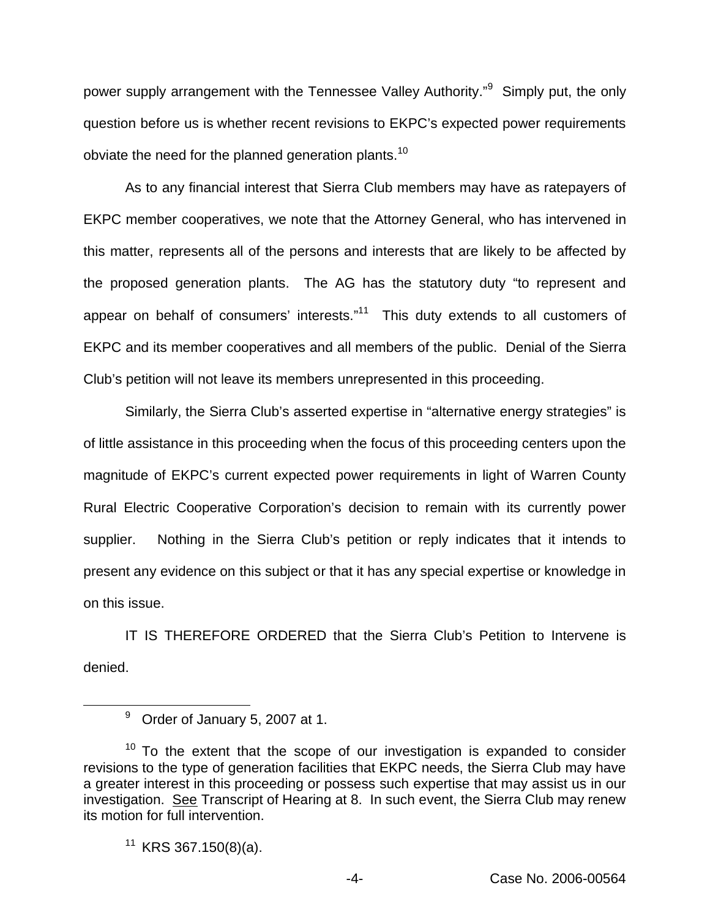power supply arrangement with the Tennessee Valley Authority."<sup>9</sup> Simply put, the only question before us is whether recent revisions to EKPC's expected power requirements obviate the need for the planned generation plants.<sup>10</sup>

As to any financial interest that Sierra Club members may have as ratepayers of EKPC member cooperatives, we note that the Attorney General, who has intervened in this matter, represents all of the persons and interests that are likely to be affected by the proposed generation plants. The AG has the statutory duty "to represent and appear on behalf of consumers' interests. $n<sup>11</sup>$  This duty extends to all customers of EKPC and its member cooperatives and all members of the public. Denial of the Sierra Club's petition will not leave its members unrepresented in this proceeding.

Similarly, the Sierra Club's asserted expertise in "alternative energy strategies" is of little assistance in this proceeding when the focus of this proceeding centers upon the magnitude of EKPC's current expected power requirements in light of Warren County Rural Electric Cooperative Corporation's decision to remain with its currently power supplier. Nothing in the Sierra Club's petition or reply indicates that it intends to present any evidence on this subject or that it has any special expertise or knowledge in on this issue.

IT IS THEREFORE ORDERED that the Sierra Club's Petition to Intervene is denied.

<sup>&</sup>lt;sup>9</sup> Order of January 5, 2007 at 1.

 $10$  To the extent that the scope of our investigation is expanded to consider revisions to the type of generation facilities that EKPC needs, the Sierra Club may have a greater interest in this proceeding or possess such expertise that may assist us in our investigation. See Transcript of Hearing at 8. In such event, the Sierra Club may renew its motion for full intervention.

 $11$  KRS 367.150(8)(a).